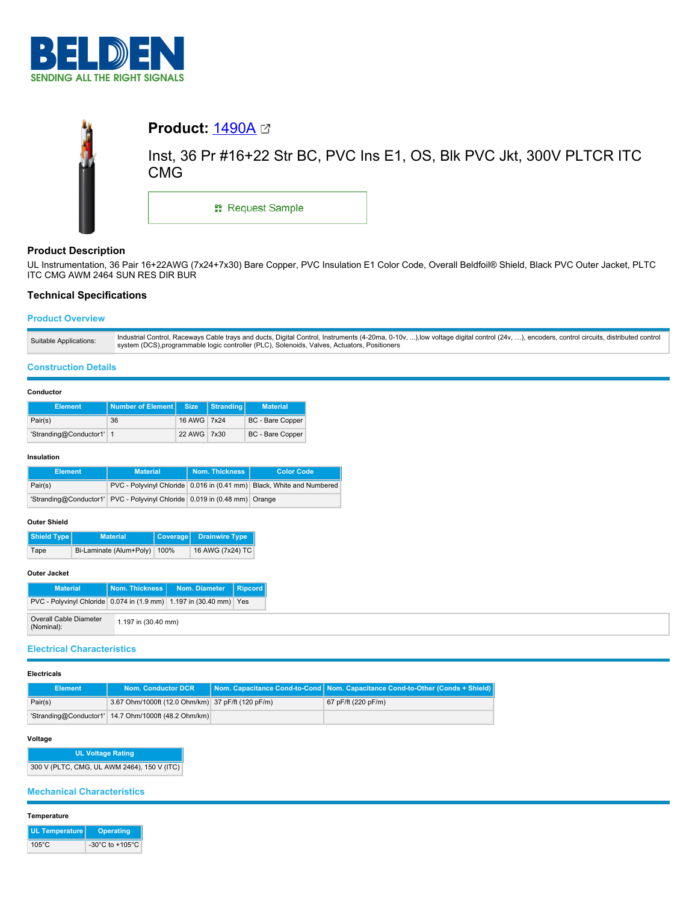



# **Product Description**

UL Instrumentation, 36 Pair 16+22AWG (7x24+7x30) Bare Copper, PVC Insulation E1 Color Code, Overall Beldfoil® Shield, Black PVC Outer Jacket, PLTC ITC CMG AWM 2464 SUN RES DIR BUR

## **Technical Specifications**

## **Product Overview**

| Suitable Applications: | Industrial Control, Raceways Cable trays and ducts, Digital Control, Instruments (4-20ma, 0-10v, ),low voltage digital control (24v, ), encoders, control circuits, distributed control |
|------------------------|-----------------------------------------------------------------------------------------------------------------------------------------------------------------------------------------|
|                        | system (DCS), programmable logic controller (PLC), Solenoids, Valves, Actuators, Positioners                                                                                            |

### **Construction Details**

### **Conductor**

| <b>Element</b>           | <b>Number of Element   Size</b> |             | Stranding | <b>Material</b>         |
|--------------------------|---------------------------------|-------------|-----------|-------------------------|
| Pair(s)                  | 36                              | 16 AWG 7x24 |           | <b>BC</b> - Bare Copper |
| 'Stranding@Conductor1' 1 |                                 | 22 AWG 7x30 |           | <b>BC</b> - Bare Copper |

### **Insulation**

| <b>Element</b> | <b>Material</b>                                                           | <b>Nom. Thickness</b> | <b>Color Code</b>                                                     |
|----------------|---------------------------------------------------------------------------|-----------------------|-----------------------------------------------------------------------|
| Pair(s)        |                                                                           |                       | PVC - Polyvinyl Chloride 0.016 in (0.41 mm) Black, White and Numbered |
|                | 'Stranding@Conductor1' PVC - Polyvinyl Chloride 0.019 in (0.48 mm) Orange |                       |                                                                       |

### **Outer Shield**

| Shield Type | <b>Material</b>              | Coverage   Drainwire Type |
|-------------|------------------------------|---------------------------|
| Tape        | Bi-Laminate (Alum+Poly) 100% | 16 AWG (7x24) TC          |

## **Outer Jacket**

| <b>Material</b>                                                    |                       | Nom. Thickness   Nom. Diameter   Ripcord |  |
|--------------------------------------------------------------------|-----------------------|------------------------------------------|--|
| PVC - Polyvinyl Chloride 0.074 in (1.9 mm) 1.197 in (30.40 mm) Yes |                       |                                          |  |
| Overall Cable Diameter<br>(Nominal):                               | $1.197$ in (30.40 mm) |                                          |  |

# **Electrical Characteristics**

#### **Electricals**

| Element | Nom. Conductor DCR                                   | Nom. Capacitance Cond-to-Cond Nom. Capacitance Cond-to-Other (Conds + Shield) |
|---------|------------------------------------------------------|-------------------------------------------------------------------------------|
| Pair(s) | 3.67 Ohm/1000ft (12.0 Ohm/km) 37 pF/ft (120 pF/m)    | 67 pF/ft (220 pF/m)                                                           |
|         | 'Stranding@Conductor1' 14.7 Ohm/1000ft (48.2 Ohm/km) |                                                                               |

## **Voltage**

**UL Voltage Rating** 300 V (PLTC, CMG, UL AWM 2464), 150 V (ITC)

## **Mechanical Characteristics**

### **Temperature**

| UL Temperature  | Operating                             |
|-----------------|---------------------------------------|
| $105^{\circ}$ C | -30 $^{\circ}$ C to +105 $^{\circ}$ C |